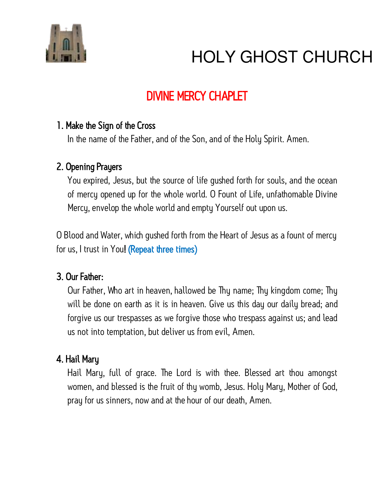

# **HOLY GHOST CHURCH**

# DIVINE MERCY CHAPLET

### 1. Make the Sign of the Cross

In the name of the Father, and of the Son, and of the Holy Spirit. Amen.

# 2. Opening Prayers

You expired, Jesus, but the source of life gushed forth for souls, and the ocean of mercy opened up for the whole world. O Fount of Life, unfathomable Divine Mercy, envelop the whole world and empty Yourself out upon us.

O Blood and Water, which gushed forth from the Heart of Jesus as a fount of mercy for us, I trust in You! (Repeat three times)

# 3. Our Father:

Our Father, Who art in heaven, hallowed be Thy name; Thy kingdom come; Thy will be done on earth as it is in heaven. Give us this day our daily bread; and forgive us our trespasses as we forgive those who trespass against us; and lead us not into temptation, but deliver us from evil, Amen.

# 4. Hail Mary

Hail Mary, full of grace. The Lord is with thee. Blessed art thou amongst women, and blessed is the fruit of thy womb, Jesus. Holy Mary, Mother of God, pray for us sinners, now and at the hour of our death, Amen.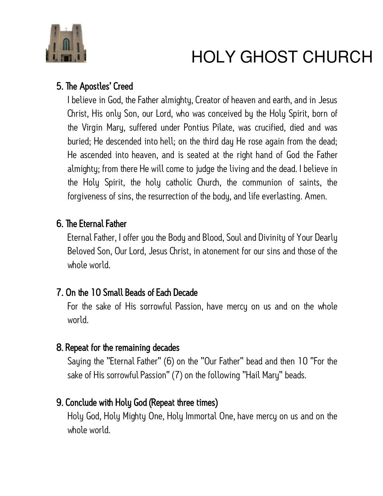

# **HOLY GHOST CHURCH**

#### 5. The Apostles' Creed

I believe in God, the Father almighty, Creator of heaven and earth, and in Jesus Christ, His only Son, our Lord, who was conceived by the Holy Spirit, born of the Virgin Mary, suffered under Pontius Pilate, was crucified, died and was buried; He descended into hell; on the third day He rose again from the dead; He ascended into heaven, and is seated at the right hand of God the Father almighty; from there He will come to judge the living and the dead. I believe in the Holy Spirit, the holy catholic Church, the communion of saints, the forgiveness of sins, the resurrection of the body, and life everlasting. Amen.

#### 6. The Eternal Father

Eternal Father, I offer you the Body and Blood, Soul and Divinity of Your Dearly Beloved Son, Our Lord, Jesus Christ, in atonement for our sins and those of the whole world.

#### 7. On the 10 Small Beads of Each Decade

For the sake of His sorrowful Passion, have mercy on us and on the whole world.

#### 8. Repeat for the remaining decades

Saying the "Eternal Father" (6) on the "Our Father" bead and then 10 "For the sake of His sorrowful Passion" (7) on the following "Hail Mary" beads.

#### 9. Conclude with Holy God (Repeat three times)

Holy God, Holy Mighty One, Holy Immortal One, have mercy on us and on the whole world.